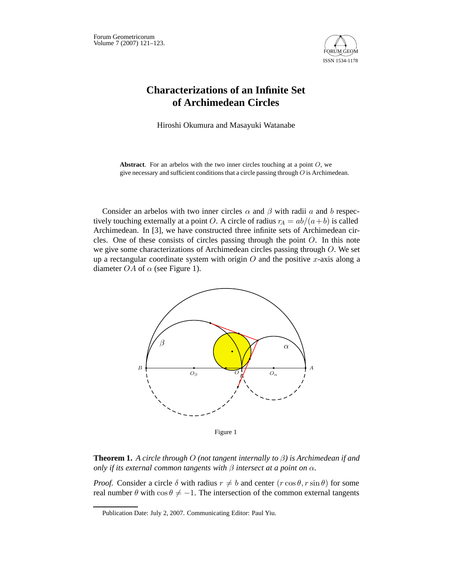

## **Characterizations of an Infinite Set of Archimedean Circles**

Hiroshi Okumura and Masayuki Watanabe

**Abstract**. For an arbelos with the two inner circles touching at a point *O*, we give necessary and sufficient conditions that a circle passing through *O* is Archimedean.

Consider an arbelos with two inner circles  $\alpha$  and  $\beta$  with radii a and b respectively touching externally at a point O. A circle of radius  $r_A = ab/(a+b)$  is called Archimedean. In [3], we have constructed three infinite sets of Archimedean circles. One of these consists of circles passing through the point O. In this note we give some characterizations of Archimedean circles passing through O. We set up a rectangular coordinate system with origin  $O$  and the positive x-axis along a diameter *OA* of  $\alpha$  (see Figure 1).



Figure 1

**Theorem 1.** *A circle through* O *(not tangent internally to* β*) is Archimedean if and only if its external common tangents with*  $\beta$  *intersect at a point on*  $\alpha$ *.* 

*Proof.* Consider a circle  $\delta$  with radius  $r \neq b$  and center  $(r \cos \theta, r \sin \theta)$  for some real number  $\theta$  with  $\cos \theta \neq -1$ . The intersection of the common external tangents

Publication Date: July 2, 2007. Communicating Editor: Paul Yiu.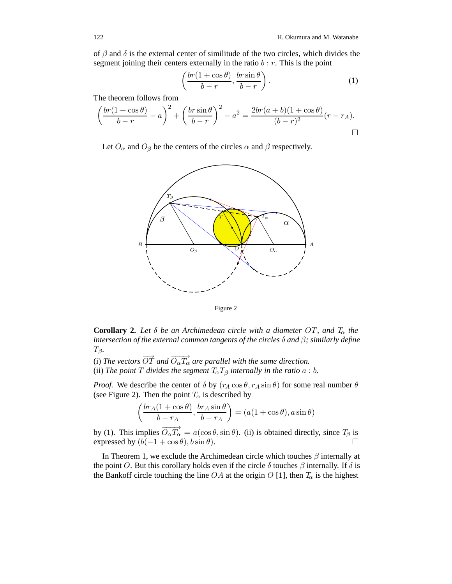of  $\beta$  and  $\delta$  is the external center of similitude of the two circles, which divides the segment joining their centers externally in the ratio  $b : r$ . This is the point

$$
\left(\frac{br(1+\cos\theta)}{b-r}, \frac{br\sin\theta}{b-r}\right). \tag{1}
$$

The theorem follows from

$$
\left(\frac{br(1+\cos\theta)}{b-r} - a\right)^2 + \left(\frac{br\sin\theta}{b-r}\right)^2 - a^2 = \frac{2br(a+b)(1+\cos\theta)}{(b-r)^2}(r-r_A).
$$

Let  $O_{\alpha}$  and  $O_{\beta}$  be the centers of the circles  $\alpha$  and  $\beta$  respectively.



Figure 2

**Corollary 2.** Let  $\delta$  be an Archimedean circle with a diameter OT, and  $T_{\alpha}$  the *intersection of the external common tangents of the circles* δ *and* β*; similarly define*  $T_{\beta}$ .

(i) The vectors  $\overrightarrow{OT}$  and  $\overrightarrow{O_{\alpha}T_{\alpha}}$  are parallel with the same direction.

(ii) *The point*  $T$  *divides the segment*  $T_{\alpha}T_{\beta}$  *internally in the ratio*  $a:b$ .

*Proof.* We describe the center of  $\delta$  by  $(r_A \cos \theta, r_A \sin \theta)$  for some real number  $\theta$ (see Figure 2). Then the point  $T_{\alpha}$  is described by

$$
\left(\frac{br_A(1+\cos\theta)}{b-r_A}, \frac{br_A\sin\theta}{b-r_A}\right) = (a(1+\cos\theta), a\sin\theta)
$$

by (1). This implies  $\overrightarrow{O_{\alpha}T_{\alpha}} = a(\cos\theta, \sin\theta)$ . (ii) is obtained directly, since  $T_{\beta}$  is expressed by  $(b(-1 + \cos \theta), b \sin \theta)$ .

In Theorem 1, we exclude the Archimedean circle which touches  $\beta$  internally at the point O. But this corollary holds even if the circle  $\delta$  touches  $\beta$  internally. If  $\delta$  is the Bankoff circle touching the line  $OA$  at the origin O [1], then  $T_{\alpha}$  is the highest